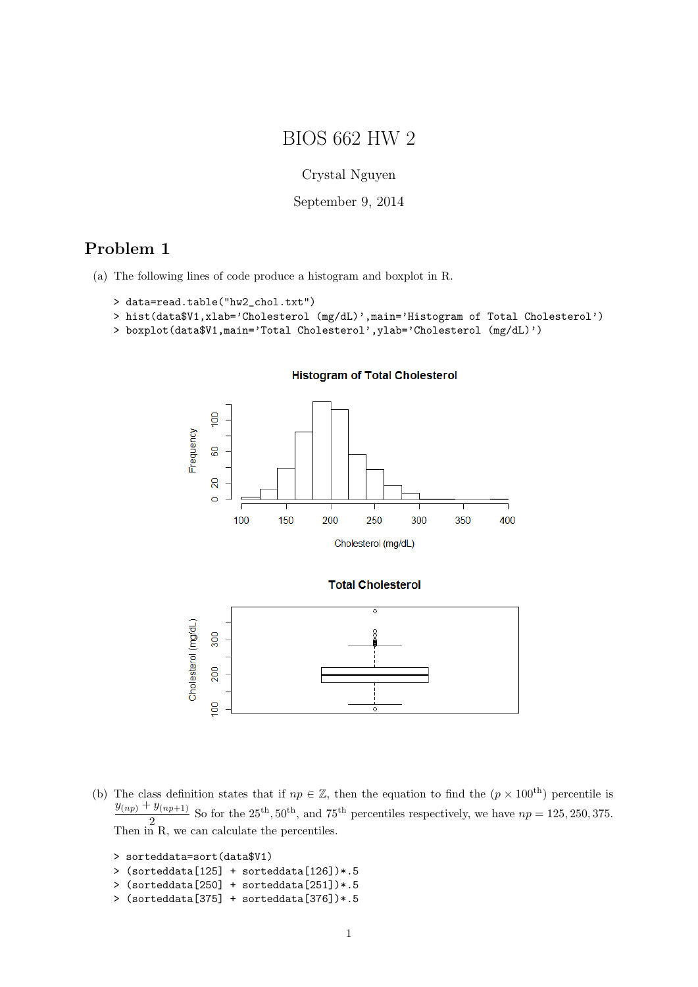# BIOS 662 HW 2

Crystal Nguyen

September 9, 2014

### Problem 1

(a) The following lines of code produce a histogram and boxplot in R.

```
> data=read.table("hw2_chol.txt")
```

```
> hist(data$V1,xlab='Cholesterol (mg/dL)',main='Histogram of Total Cholesterol')
```

```
> boxplot(data$V1,main='Total Cholesterol',ylab='Cholesterol (mg/dL)')
```


#### **Histogram of Total Cholesterol**

(b) The class definition states that if  $np \in \mathbb{Z}$ , then the equation to find the  $(p \times 100^{th})$  percentile is  $\frac{y_{(np)} + y_{(np+1)}}{2}$  So for the 25<sup>th</sup>, 50<sup>th</sup>, and 75<sup>th</sup> percentiles respectively, we have  $np = 125, 250, 375$ . Then in R, we can calculate the percentiles.

```
> sorteddata=sort(data$V1)
```
ξ

```
> (sorteddata[125] + sorteddata[126])*.5
```

```
> (sorteddata[250] + sorteddata[251])*.5
```

```
> (sorteddata[375] + sorteddata[376])*.5
```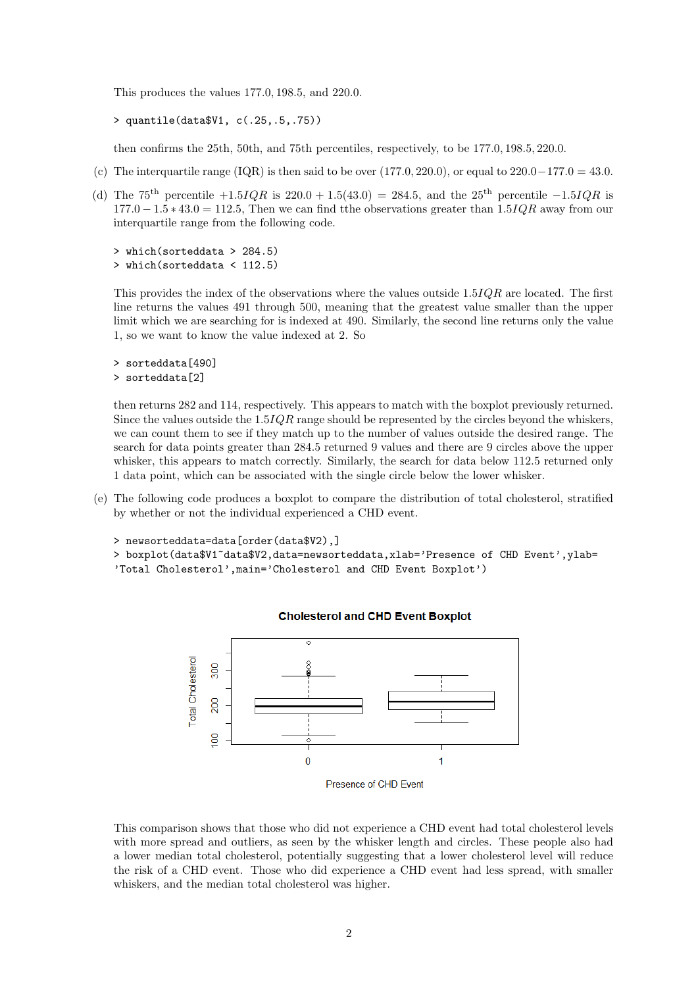This produces the values 177.0, 198.5, and 220.0.

```
> quantile(data$V1, c(.25,.5,.75))
```
then confirms the 25th, 50th, and 75th percentiles, respectively, to be 177.0, 198.5, 220.0.

- (c) The interquartile range (IQR) is then said to be over  $(177.0, 220.0)$ , or equal to  $220.0-177.0 = 43.0$ .
- (d) The 75<sup>th</sup> percentile  $+1.5IQR$  is 220.0 + 1.5(43.0) = 284.5, and the 25<sup>th</sup> percentile  $-1.5IQR$  is  $177.0 - 1.5 * 43.0 = 112.5$ , Then we can find tthe observations greater than  $1.5IQR$  away from our interquartile range from the following code.

```
> which(sorteddata > 284.5)
> which(sorteddata < 112.5)
```
This provides the index of the observations where the values outside 1.5IQR are located. The first line returns the values 491 through 500, meaning that the greatest value smaller than the upper limit which we are searching for is indexed at 490. Similarly, the second line returns only the value 1, so we want to know the value indexed at 2. So

```
> sorteddata[490]
> sorteddata[2]
```
then returns 282 and 114, respectively. This appears to match with the boxplot previously returned. Since the values outside the  $1.5IQR$  range should be represented by the circles beyond the whiskers, we can count them to see if they match up to the number of values outside the desired range. The search for data points greater than 284.5 returned 9 values and there are 9 circles above the upper whisker, this appears to match correctly. Similarly, the search for data below 112.5 returned only 1 data point, which can be associated with the single circle below the lower whisker.

(e) The following code produces a boxplot to compare the distribution of total cholesterol, stratified by whether or not the individual experienced a CHD event.

```
> newsorteddata=data[order(data$V2),]
```
> boxplot(data\$V1~data\$V2,data=newsorteddata,xlab='Presence of CHD Event',ylab= 'Total Cholesterol',main='Cholesterol and CHD Event Boxplot')



### **Cholesterol and CHD Event Boxplot**

This comparison shows that those who did not experience a CHD event had total cholesterol levels with more spread and outliers, as seen by the whisker length and circles. These people also had a lower median total cholesterol, potentially suggesting that a lower cholesterol level will reduce the risk of a CHD event. Those who did experience a CHD event had less spread, with smaller whiskers, and the median total cholesterol was higher.